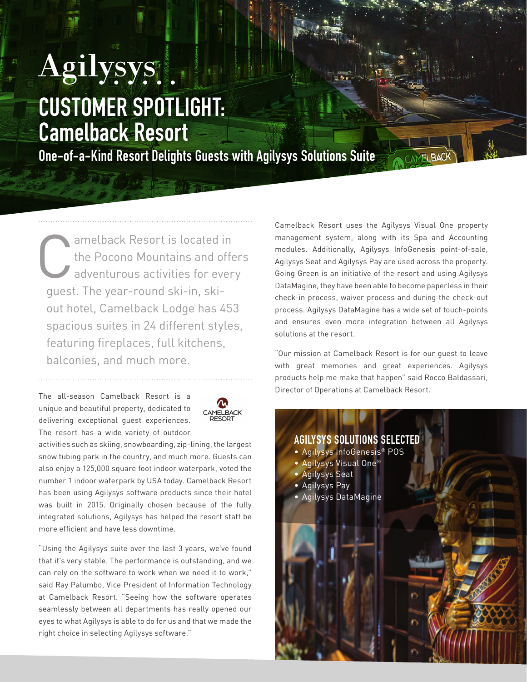## Agilysys. CUSTOMER SPOTLIGHT: Camelback Resort

One-of-a-Kind Resort Delights Guests with Agilysys Solutions Suite

amelback Resort is located in<br>the Pocono Mountains and offer<br>adventurous activities for ever the Pocono Mountains and offers adventurous activities for every guest. The year-round ski-in, skiout hotel, Camelback Lodge has 453 spacious suites in 24 different styles, featuring fireplaces, full kitchens, balconies, and much more.

The all-season Camelback Resort is a unique and beautiful property, dedicated to delivering exceptional guest experiences. The resort has a wide variety of outdoor



activities such as skiing, snowboarding, zip-lining, the largest snow tubing park in the country, and much more. Guests can also enjoy a 125,000 square foot indoor waterpark, voted the number 1 indoor waterpark by USA today. Camelback Resort has been using Agilysys software products since their hotel was built in 2015. Originally chosen because of the fully integrated solutions, Agilysys has helped the resort staff be more efficient and have less downtime.

"Using the Agilysys suite over the last 3 years, we've found that it's very stable. The performance is outstanding, and we can rely on the software to work when we need it to work," said Ray Palumbo, Vice President of Information Technology at Camelback Resort. "Seeing how the software operates seamlessly between all departments has really opened our eyes to what Agilysys is able to do for us and that we made the right choice in selecting Agilysys software."

Camelback Resort uses the Agilysys Visual One property management system, along with its Spa and Accounting modules. Additionally, Agilysys InfoGenesis point-of-sale, Agilysys Seat and Agilysys Pay are used across the property. Going Green is an initiative of the resort and using Agilysys DataMagine, they have been able to become paperless in their check-in process, waiver process and during the check-out process. Agilysys DataMagine has a wide set of touch-points and ensures even more integration between all Agilysys solutions at the resort.

"Our mission at Camelback Resort is for our guest to leave with great memories and great experiences. Agilysys products help me make that happen" said Rocco Baldassari, Director of Operations at Camelback Resort.